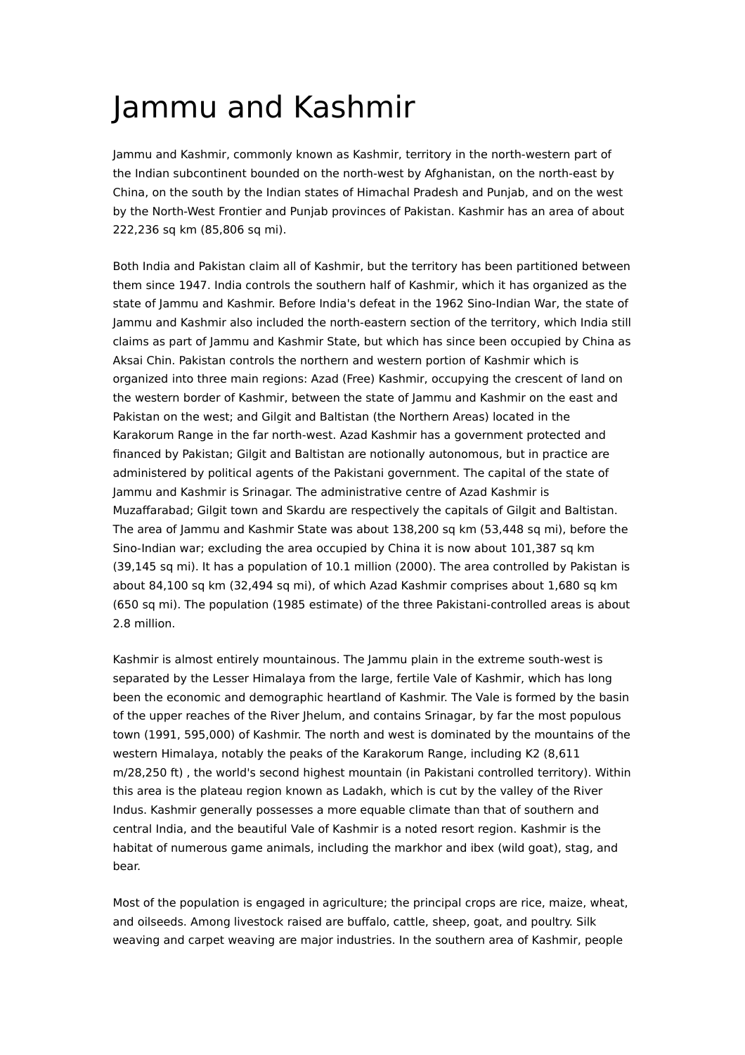## Jammu and Kashmir

Jammu and Kashmir, commonly known as Kashmir, territory in the north-western part of the Indian subcontinent bounded on the north-west by Afghanistan, on the north-east by China, on the south by the Indian states of Himachal Pradesh and Punjab, and on the west by the North-West Frontier and Punjab provinces of Pakistan. Kashmir has an area of about 222,236 sq km (85,806 sq mi).

Both India and Pakistan claim all of Kashmir, but the territory has been partitioned between them since 1947. India controls the southern half of Kashmir, which it has organized as the state of Jammu and Kashmir. Before India's defeat in the 1962 Sino-Indian War, the state of Jammu and Kashmir also included the north-eastern section of the territory, which India still claims as part of Jammu and Kashmir State, but which has since been occupied by China as Aksai Chin. Pakistan controls the northern and western portion of Kashmir which is organized into three main regions: Azad (Free) Kashmir, occupying the crescent of land on the western border of Kashmir, between the state of Jammu and Kashmir on the east and Pakistan on the west; and Gilgit and Baltistan (the Northern Areas) located in the Karakorum Range in the far north-west. Azad Kashmir has a government protected and financed by Pakistan; Gilgit and Baltistan are notionally autonomous, but in practice are administered by political agents of the Pakistani government. The capital of the state of Jammu and Kashmir is Srinagar. The administrative centre of Azad Kashmir is Muzaffarabad; Gilgit town and Skardu are respectively the capitals of Gilgit and Baltistan. The area of Jammu and Kashmir State was about 138,200 sq km (53,448 sq mi), before the Sino-Indian war; excluding the area occupied by China it is now about 101,387 sq km (39,145 sq mi). It has a population of 10.1 million (2000). The area controlled by Pakistan is about 84,100 sq km (32,494 sq mi), of which Azad Kashmir comprises about 1,680 sq km (650 sq mi). The population (1985 estimate) of the three Pakistani-controlled areas is about 2.8 million.

Kashmir is almost entirely mountainous. The Jammu plain in the extreme south-west is separated by the Lesser Himalaya from the large, fertile Vale of Kashmir, which has long been the economic and demographic heartland of Kashmir. The Vale is formed by the basin of the upper reaches of the River Jhelum, and contains Srinagar, by far the most populous town (1991, 595,000) of Kashmir. The north and west is dominated by the mountains of the western Himalaya, notably the peaks of the Karakorum Range, including K2 (8,611 m/28,250 ft) , the world's second highest mountain (in Pakistani controlled territory). Within this area is the plateau region known as Ladakh, which is cut by the valley of the River Indus. Kashmir generally possesses a more equable climate than that of southern and central India, and the beautiful Vale of Kashmir is a noted resort region. Kashmir is the habitat of numerous game animals, including the markhor and ibex (wild goat), stag, and bear.

Most of the population is engaged in agriculture; the principal crops are rice, maize, wheat, and oilseeds. Among livestock raised are buffalo, cattle, sheep, goat, and poultry. Silk weaving and carpet weaving are major industries. In the southern area of Kashmir, people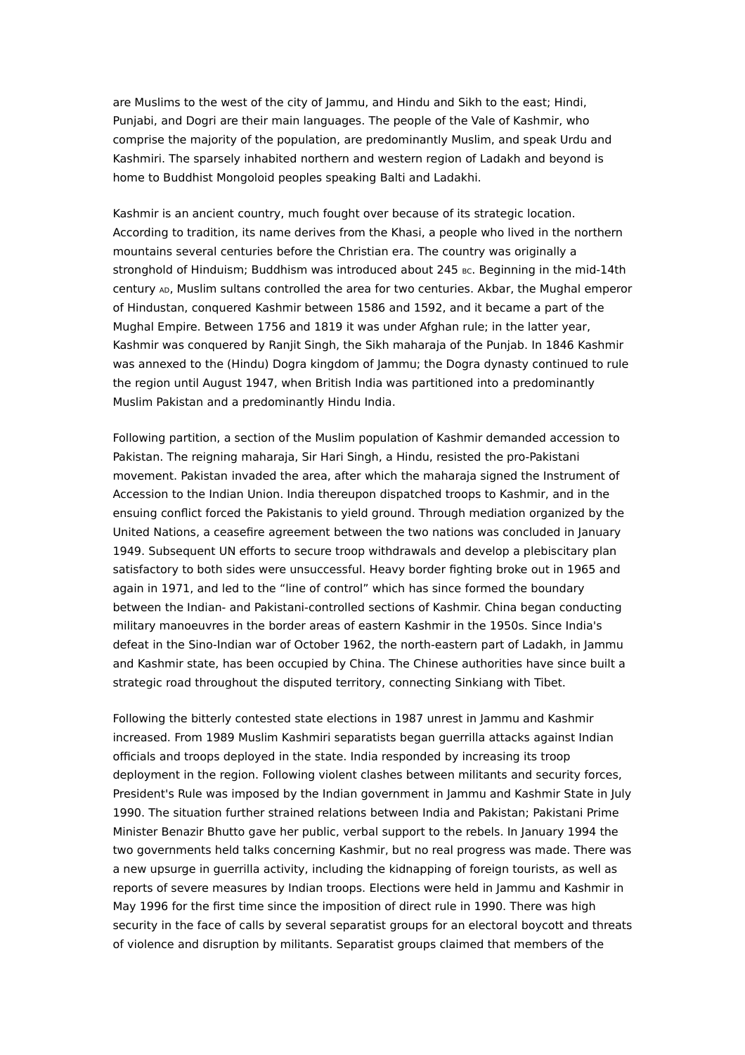are Muslims to the west of the city of Jammu, and Hindu and Sikh to the east; Hindi, Punjabi, and Dogri are their main languages. The people of the Vale of Kashmir, who comprise the majority of the population, are predominantly Muslim, and speak Urdu and Kashmiri. The sparsely inhabited northern and western region of Ladakh and beyond is home to Buddhist Mongoloid peoples speaking Balti and Ladakhi.

Kashmir is an ancient country, much fought over because of its strategic location. According to tradition, its name derives from the Khasi, a people who lived in the northern mountains several centuries before the Christian era. The country was originally a stronghold of Hinduism; Buddhism was introduced about 245 Bc. Beginning in the mid-14th century AD, Muslim sultans controlled the area for two centuries. Akbar, the Mughal emperor of Hindustan, conquered Kashmir between 1586 and 1592, and it became a part of the Mughal Empire. Between 1756 and 1819 it was under Afghan rule; in the latter year, Kashmir was conquered by Ranjit Singh, the Sikh maharaja of the Punjab. In 1846 Kashmir was annexed to the (Hindu) Dogra kingdom of Jammu; the Dogra dynasty continued to rule the region until August 1947, when British India was partitioned into a predominantly Muslim Pakistan and a predominantly Hindu India.

Following partition, a section of the Muslim population of Kashmir demanded accession to Pakistan. The reigning maharaja, Sir Hari Singh, a Hindu, resisted the pro-Pakistani movement. Pakistan invaded the area, after which the maharaja signed the Instrument of Accession to the Indian Union. India thereupon dispatched troops to Kashmir, and in the ensuing conflict forced the Pakistanis to yield ground. Through mediation organized by the United Nations, a ceasefire agreement between the two nations was concluded in January 1949. Subsequent UN efforts to secure troop withdrawals and develop a plebiscitary plan satisfactory to both sides were unsuccessful. Heavy border fighting broke out in 1965 and again in 1971, and led to the "line of control" which has since formed the boundary between the Indian- and Pakistani-controlled sections of Kashmir. China began conducting military manoeuvres in the border areas of eastern Kashmir in the 1950s. Since India's defeat in the Sino-Indian war of October 1962, the north-eastern part of Ladakh, in Jammu and Kashmir state, has been occupied by China. The Chinese authorities have since built a strategic road throughout the disputed territory, connecting Sinkiang with Tibet.

Following the bitterly contested state elections in 1987 unrest in Jammu and Kashmir increased. From 1989 Muslim Kashmiri separatists began guerrilla attacks against Indian officials and troops deployed in the state. India responded by increasing its troop deployment in the region. Following violent clashes between militants and security forces, President's Rule was imposed by the Indian government in Jammu and Kashmir State in July 1990. The situation further strained relations between India and Pakistan; Pakistani Prime Minister Benazir Bhutto gave her public, verbal support to the rebels. In January 1994 the two governments held talks concerning Kashmir, but no real progress was made. There was a new upsurge in guerrilla activity, including the kidnapping of foreign tourists, as well as reports of severe measures by Indian troops. Elections were held in Jammu and Kashmir in May 1996 for the first time since the imposition of direct rule in 1990. There was high security in the face of calls by several separatist groups for an electoral boycott and threats of violence and disruption by militants. Separatist groups claimed that members of the